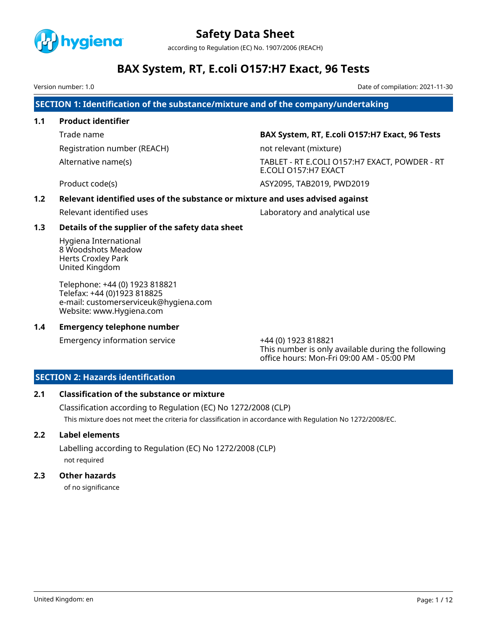

according to Regulation (EC) No. 1907/2006 (REACH)

# **BAX System, RT, E.coli O157:H7 Exact, 96 Tests**

Version number: 1.0 Date of compilation: 2021-11-30

**SECTION 1: Identification of the substance/mixture and of the company/undertaking**

# **1.1 Product identifier**

Registration number (REACH) not relevant (mixture)

Trade name **BAX System, RT, E.coli O157:H7 Exact, 96 Tests**

Alternative name(s) TABLET - RT E.COLI O157:H7 EXACT, POWDER - RT E.COLI O157:H7 EXACT

Product code(s) ASY2095, TAB2019, PWD2019

# **1.2 Relevant identified uses of the substance or mixture and uses advised against**

Relevant identified uses Laboratory and analytical use

# **1.3 Details of the supplier of the safety data sheet**

Hygiena International 8 Woodshots Meadow Herts Croxley Park United Kingdom

Telephone: +44 (0) 1923 818821 Telefax: +44 (0)1923 818825 e-mail: customerserviceuk@hygiena.com Website: www.Hygiena.com

# **1.4 Emergency telephone number**

Emergency information service +44 (0) 1923 818821

This number is only available during the following office hours: Mon-Fri 09:00 AM - 05:00 PM

# **SECTION 2: Hazards identification**

# **2.1 Classification of the substance or mixture**

Classification according to Regulation (EC) No 1272/2008 (CLP) This mixture does not meet the criteria for classification in accordance with Regulation No 1272/2008/EC.

# **2.2 Label elements**

Labelling according to Regulation (EC) No 1272/2008 (CLP) not required

# **2.3 Other hazards**

of no significance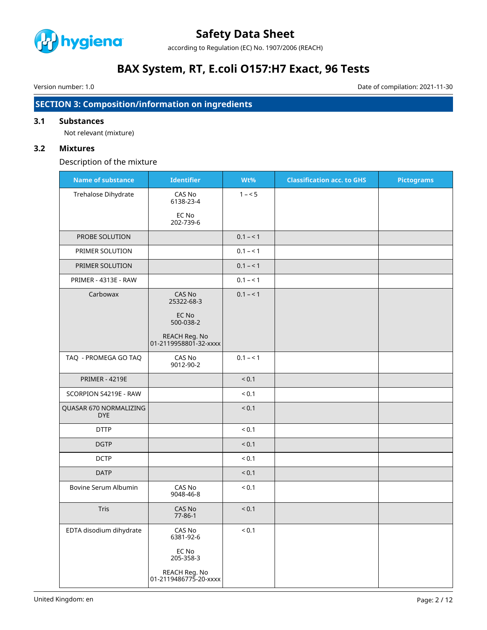

according to Regulation (EC) No. 1907/2006 (REACH)

# **BAX System, RT, E.coli O157:H7 Exact, 96 Tests**

Version number: 1.0 Date of compilation: 2021-11-30

# **SECTION 3: Composition/information on ingredients**

# **3.1 Substances**

Not relevant (mixture)

# **3.2 Mixtures**

Description of the mixture

| <b>Name of substance</b>             | <b>Identifier</b>                      | Wt%        | <b>Classification acc. to GHS</b> | <b>Pictograms</b> |
|--------------------------------------|----------------------------------------|------------|-----------------------------------|-------------------|
| Trehalose Dihydrate                  | CAS No<br>6138-23-4                    | $1 - 5$    |                                   |                   |
|                                      | EC No<br>202-739-6                     |            |                                   |                   |
| PROBE SOLUTION                       |                                        | $0.1 - 1$  |                                   |                   |
| PRIMER SOLUTION                      |                                        | $0.1 - 1$  |                                   |                   |
| PRIMER SOLUTION                      |                                        | $0.1 - 1$  |                                   |                   |
| PRIMER - 4313E - RAW                 |                                        | $0.1 - 1$  |                                   |                   |
| Carbowax                             | CAS No<br>25322-68-3                   | $0.1 - 1$  |                                   |                   |
|                                      | EC No<br>500-038-2                     |            |                                   |                   |
|                                      | REACH Reg. No<br>01-2119958801-32-xxxx |            |                                   |                   |
| TAQ - PROMEGA GO TAQ                 | CAS No<br>9012-90-2                    | $0.1 - 1$  |                                   |                   |
| <b>PRIMER - 4219E</b>                |                                        | < 0.1      |                                   |                   |
| SCORPION S4219E - RAW                |                                        | ${}_{0.1}$ |                                   |                   |
| QUASAR 670 NORMALIZING<br><b>DYE</b> |                                        | < 0.1      |                                   |                   |
| <b>DTTP</b>                          |                                        | ${}_{0.1}$ |                                   |                   |
| <b>DGTP</b>                          |                                        | < 0.1      |                                   |                   |
| <b>DCTP</b>                          |                                        | ${}_{0.1}$ |                                   |                   |
| <b>DATP</b>                          |                                        | < 0.1      |                                   |                   |
| Bovine Serum Albumin                 | CAS No<br>9048-46-8                    | ${}_{0.1}$ |                                   |                   |
| Tris                                 | CAS No<br>$77 - 86 - 1$                | < 0.1      |                                   |                   |
| EDTA disodium dihydrate              | CAS No<br>6381-92-6                    | ${}_{0.1}$ |                                   |                   |
|                                      | EC No<br>205-358-3                     |            |                                   |                   |
|                                      | REACH Reg. No<br>01-2119486775-20-xxxx |            |                                   |                   |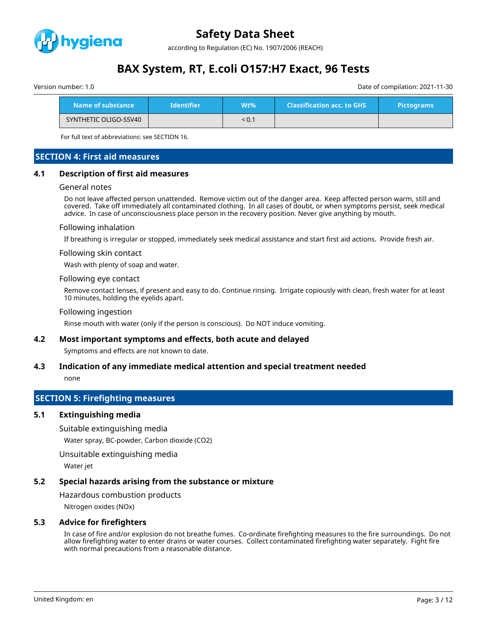

according to Regulation (EC) No. 1907/2006 (REACH)

# **BAX System, RT, E.coli O157:H7 Exact, 96 Tests**

| Version number: 1.0 | Date of compilation: 2021-11-30 |
|---------------------|---------------------------------|

| Name of substance     | <b>Identifier</b> | $Wt\%$ ' | <b>Classification acc. to GHS</b> | <b>Pictograms</b> |
|-----------------------|-------------------|----------|-----------------------------------|-------------------|
| SYNTHETIC OLIGO-SSV40 |                   | < 0.1    |                                   |                   |

For full text of abbreviations: see SECTION 16.

# **SECTION 4: First aid measures**

### **4.1 Description of first aid measures**

#### General notes

Do not leave affected person unattended. Remove victim out of the danger area. Keep affected person warm, still and covered. Take off immediately all contaminated clothing. In all cases of doubt, or when symptoms persist, seek medical advice. In case of unconsciousness place person in the recovery position. Never give anything by mouth.

#### Following inhalation

If breathing is irregular or stopped, immediately seek medical assistance and start first aid actions. Provide fresh air.

#### Following skin contact

Wash with plenty of soap and water.

#### Following eye contact

Remove contact lenses, if present and easy to do. Continue rinsing. Irrigate copiously with clean, fresh water for at least 10 minutes, holding the eyelids apart.

#### Following ingestion

Rinse mouth with water (only if the person is conscious). Do NOT induce vomiting.

### **4.2 Most important symptoms and effects, both acute and delayed**

Symptoms and effects are not known to date.

## **4.3 Indication of any immediate medical attention and special treatment needed**

none

# **SECTION 5: Firefighting measures**

## **5.1 Extinguishing media**

Suitable extinguishing media

Water spray, BC-powder, Carbon dioxide (CO2)

Unsuitable extinguishing media

Water jet

# **5.2 Special hazards arising from the substance or mixture**

Hazardous combustion products

Nitrogen oxides (NOx)

# **5.3 Advice for firefighters**

In case of fire and/or explosion do not breathe fumes. Co-ordinate firefighting measures to the fire surroundings. Do not allow firefighting water to enter drains or water courses. Collect contaminated firefighting water separately. Fight fire with normal precautions from a reasonable distance.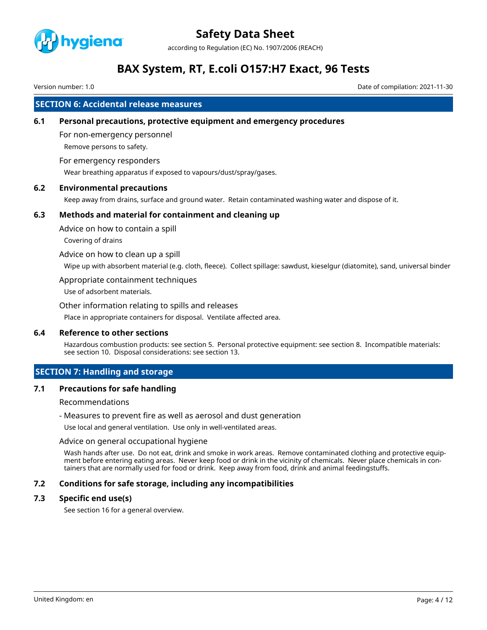

according to Regulation (EC) No. 1907/2006 (REACH)

# **BAX System, RT, E.coli O157:H7 Exact, 96 Tests**

Version number: 1.0 Date of compilation: 2021-11-30

# **SECTION 6: Accidental release measures**

## **6.1 Personal precautions, protective equipment and emergency procedures**

For non-emergency personnel Remove persons to safety.

### For emergency responders

Wear breathing apparatus if exposed to vapours/dust/spray/gases.

# **6.2 Environmental precautions**

Keep away from drains, surface and ground water. Retain contaminated washing water and dispose of it.

### **6.3 Methods and material for containment and cleaning up**

Advice on how to contain a spill

Covering of drains

Advice on how to clean up a spill

Wipe up with absorbent material (e.g. cloth, fleece). Collect spillage: sawdust, kieselgur (diatomite), sand, universal binder

#### Appropriate containment techniques

Use of adsorbent materials.

#### Other information relating to spills and releases

Place in appropriate containers for disposal. Ventilate affected area.

# **6.4 Reference to other sections**

Hazardous combustion products: see section 5. Personal protective equipment: see section 8. Incompatible materials: see section 10. Disposal considerations: see section 13.

## **SECTION 7: Handling and storage**

## **7.1 Precautions for safe handling**

Recommendations

- Measures to prevent fire as well as aerosol and dust generation

Use local and general ventilation. Use only in well-ventilated areas.

#### Advice on general occupational hygiene

Wash hands after use. Do not eat, drink and smoke in work areas. Remove contaminated clothing and protective equipment before entering eating areas. Never keep food or drink in the vicinity of chemicals. Never place chemicals in containers that are normally used for food or drink. Keep away from food, drink and animal feedingstuffs.

## **7.2 Conditions for safe storage, including any incompatibilities**

## **7.3 Specific end use(s)**

See section 16 for a general overview.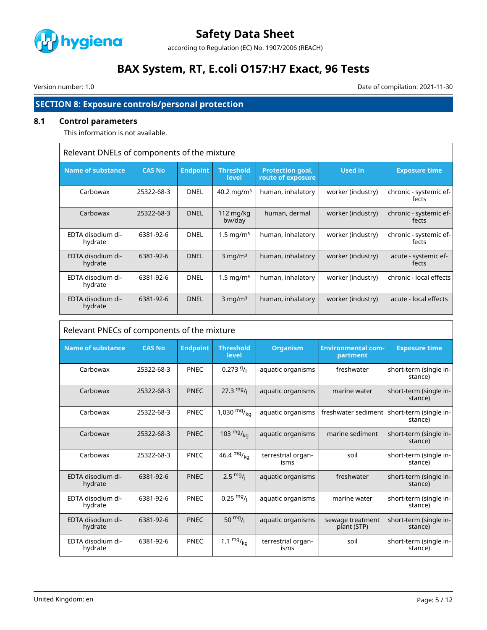

according to Regulation (EC) No. 1907/2006 (REACH)

# **BAX System, RT, E.coli O157:H7 Exact, 96 Tests**

 $\mathsf{r}$ 

Version number: 1.0 Date of compilation: 2021-11-30

# **SECTION 8: Exposure controls/personal protection**

# **8.1 Control parameters**

This information is not available.

| Relevant DNELs of components of the mixture |               |                 |                                  |                                              |                   |                                 |
|---------------------------------------------|---------------|-----------------|----------------------------------|----------------------------------------------|-------------------|---------------------------------|
| <b>Name of substance</b>                    | <b>CAS No</b> | <b>Endpoint</b> | <b>Threshold</b><br><b>level</b> | <b>Protection goal,</b><br>route of exposure | <b>Used in</b>    | <b>Exposure time</b>            |
| Carbowax                                    | 25322-68-3    | <b>DNEL</b>     | 40.2 mg/m <sup>3</sup>           | human, inhalatory                            | worker (industry) | chronic - systemic ef-<br>fects |
| Carbowax                                    | 25322-68-3    | <b>DNEL</b>     | 112 mg/kg<br>bw/day              | human, dermal                                | worker (industry) | chronic - systemic ef-<br>fects |
| EDTA disodium di-<br>hydrate                | 6381-92-6     | <b>DNEL</b>     | $1.5 \,\mathrm{mq/m^3}$          | human, inhalatory                            | worker (industry) | chronic - systemic ef-<br>fects |
| EDTA disodium di-<br>hydrate                | 6381-92-6     | <b>DNEL</b>     | $3 \text{ mg/m}^3$               | human, inhalatory                            | worker (industry) | acute - systemic ef-<br>fects   |
| EDTA disodium di-<br>hydrate                | 6381-92-6     | <b>DNEL</b>     | $1.5 \,\mathrm{mg/m^3}$          | human, inhalatory                            | worker (industry) | chronic - local effects         |
| EDTA disodium di-<br>hydrate                | 6381-92-6     | <b>DNEL</b>     | $3$ mg/m <sup>3</sup>            | human, inhalatory                            | worker (industry) | acute - local effects           |

| Relevant PNECs of components of the mixture |               |                 |                           |                            |                                       |                                                         |
|---------------------------------------------|---------------|-----------------|---------------------------|----------------------------|---------------------------------------|---------------------------------------------------------|
| <b>Name of substance</b>                    | <b>CAS No</b> | <b>Endpoint</b> | <b>Threshold</b><br>level | <b>Organism</b>            | <b>Environmental com-</b><br>partment | <b>Exposure time</b>                                    |
| Carbowax                                    | 25322-68-3    | PNEC            | $0.2739/_1$               | aquatic organisms          | freshwater                            | short-term (single in-<br>stance)                       |
| Carbowax                                    | 25322-68-3    | <b>PNEC</b>     | $27.3 \text{ mg}$ /       | aquatic organisms          | marine water                          | short-term (single in-<br>stance)                       |
| Carbowax                                    | 25322-68-3    | <b>PNEC</b>     | 1,030 $mg/kq$             | aquatic organisms          |                                       | freshwater sediment   short-term (single in-<br>stance) |
| Carbowax                                    | 25322-68-3    | <b>PNEC</b>     | 103 $mg/_{ka}$            | aquatic organisms          | marine sediment                       | short-term (single in-<br>stance)                       |
| Carbowax                                    | 25322-68-3    | <b>PNEC</b>     | 46.4 $mg/kq$              | terrestrial organ-<br>isms | soil                                  | short-term (single in-<br>stance)                       |
| EDTA disodium di-<br>hydrate                | 6381-92-6     | <b>PNEC</b>     | $2.5 \frac{mg}{l}$        | aquatic organisms          | freshwater                            | short-term (single in-<br>stance)                       |
| EDTA disodium di-<br>hydrate                | 6381-92-6     | PNEC            | $0.25 \frac{mg}{l}$       | aquatic organisms          | marine water                          | short-term (single in-<br>stance)                       |
| EDTA disodium di-<br>hydrate                | 6381-92-6     | <b>PNEC</b>     | 50 $mg/1$                 | aquatic organisms          | sewage treatment<br>plant (STP)       | short-term (single in-<br>stance)                       |
| EDTA disodium di-<br>hydrate                | 6381-92-6     | <b>PNEC</b>     | 1.1 $mg/_{kq}$            | terrestrial organ-<br>isms | soil                                  | short-term (single in-<br>stance)                       |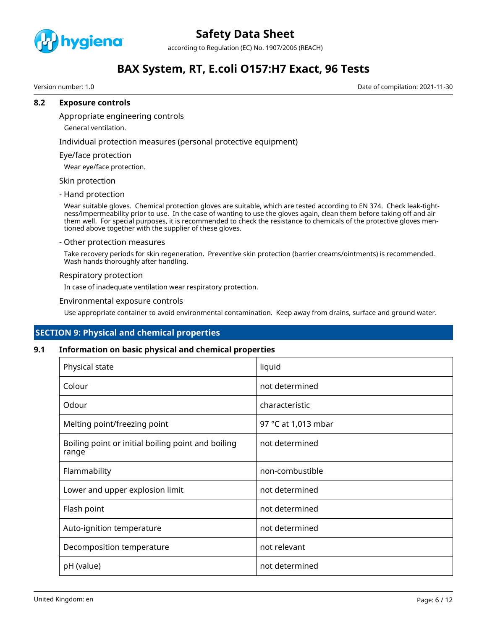

according to Regulation (EC) No. 1907/2006 (REACH)

# **BAX System, RT, E.coli O157:H7 Exact, 96 Tests**

Version number: 1.0 Date of compilation: 2021-11-30

### **8.2 Exposure controls**

Appropriate engineering controls

General ventilation.

Individual protection measures (personal protective equipment)

Eye/face protection

Wear eye/face protection.

# Skin protection

- Hand protection

Wear suitable gloves. Chemical protection gloves are suitable, which are tested according to EN 374. Check leak-tightness/impermeability prior to use. In the case of wanting to use the gloves again, clean them before taking off and air them well. For special purposes, it is recommended to check the resistance to chemicals of the protective gloves mentioned above together with the supplier of these gloves.

#### - Other protection measures

Take recovery periods for skin regeneration. Preventive skin protection (barrier creams/ointments) is recommended. Wash hands thoroughly after handling.

### Respiratory protection

In case of inadequate ventilation wear respiratory protection.

### Environmental exposure controls

Use appropriate container to avoid environmental contamination. Keep away from drains, surface and ground water.

# **SECTION 9: Physical and chemical properties**

## **9.1 Information on basic physical and chemical properties**

| Physical state                                              | liquid              |
|-------------------------------------------------------------|---------------------|
| Colour                                                      | not determined      |
| Odour                                                       | characteristic      |
| Melting point/freezing point                                | 97 °C at 1,013 mbar |
| Boiling point or initial boiling point and boiling<br>range | not determined      |
| Flammability                                                | non-combustible     |
| Lower and upper explosion limit                             | not determined      |
| Flash point                                                 | not determined      |
| Auto-ignition temperature                                   | not determined      |
| Decomposition temperature                                   | not relevant        |
| pH (value)                                                  | not determined      |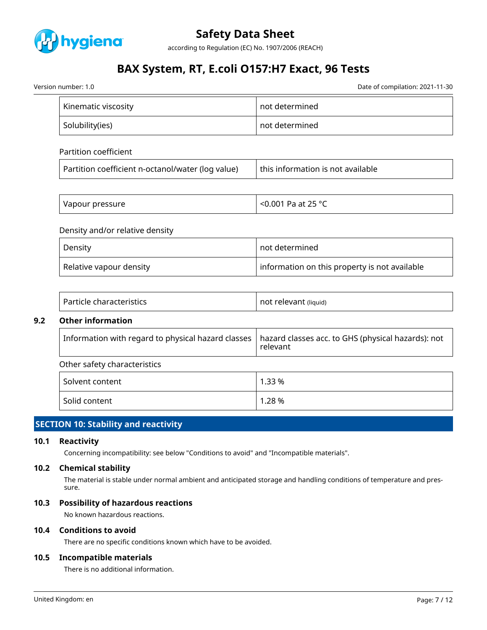

according to Regulation (EC) No. 1907/2006 (REACH)

# **BAX System, RT, E.coli O157:H7 Exact, 96 Tests**

Version number: 1.0 Date of compilation: 2021-11-30

| Kinematic viscosity | not determined |
|---------------------|----------------|
| Solubility(ies)     | not determined |

| Partition coefficient |
|-----------------------|
|                       |

| Partition coefficient n-octanol/water (log value) | this information is not available |
|---------------------------------------------------|-----------------------------------|
|                                                   |                                   |

| Vapour pressure | $< 0.001$ Pa at 25 °C<br>∼ |
|-----------------|----------------------------|
|-----------------|----------------------------|

## Density and/or relative density

| Density                 | not determined                                |
|-------------------------|-----------------------------------------------|
| Relative vapour density | information on this property is not available |

| Particle characteristics | not relevant (liquid) |
|--------------------------|-----------------------|
|--------------------------|-----------------------|

# **9.2 Other information**

|  | $\mid$ Information with regard to physical hazard classes $\mid$ hazard classes acc. to GHS (physical hazards): not<br>relevant |
|--|---------------------------------------------------------------------------------------------------------------------------------|
|--|---------------------------------------------------------------------------------------------------------------------------------|

# Other safety characteristics

| Solvent content | 1.33 % |
|-----------------|--------|
| Solid content   | 1.28 % |

# **SECTION 10: Stability and reactivity**

## **10.1 Reactivity**

Concerning incompatibility: see below "Conditions to avoid" and "Incompatible materials".

# **10.2 Chemical stability**

The material is stable under normal ambient and anticipated storage and handling conditions of temperature and pressure.

# **10.3 Possibility of hazardous reactions**

No known hazardous reactions.

# **10.4 Conditions to avoid**

There are no specific conditions known which have to be avoided.

# **10.5 Incompatible materials**

There is no additional information.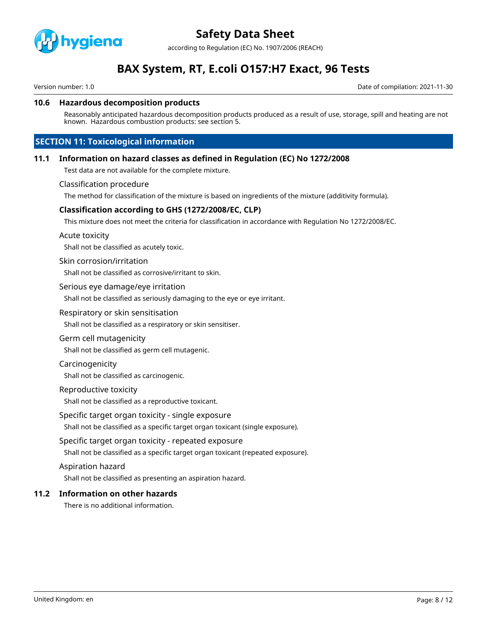

according to Regulation (EC) No. 1907/2006 (REACH)

# **BAX System, RT, E.coli O157:H7 Exact, 96 Tests**

Version number: 1.0 Date of compilation: 2021-11-30

### **10.6 Hazardous decomposition products**

Reasonably anticipated hazardous decomposition products produced as a result of use, storage, spill and heating are not known. Hazardous combustion products: see section 5.

# **SECTION 11: Toxicological information**

### **11.1 Information on hazard classes as defined in Regulation (EC) No 1272/2008**

Test data are not available for the complete mixture.

#### Classification procedure

The method for classification of the mixture is based on ingredients of the mixture (additivity formula).

## **Classification according to GHS (1272/2008/EC, CLP)**

This mixture does not meet the criteria for classification in accordance with Regulation No 1272/2008/EC.

Acute toxicity

Shall not be classified as acutely toxic.

#### Skin corrosion/irritation

Shall not be classified as corrosive/irritant to skin.

#### Serious eye damage/eye irritation

Shall not be classified as seriously damaging to the eye or eye irritant.

#### Respiratory or skin sensitisation

Shall not be classified as a respiratory or skin sensitiser.

#### Germ cell mutagenicity

Shall not be classified as germ cell mutagenic.

#### Carcinogenicity

Shall not be classified as carcinogenic.

#### Reproductive toxicity

Shall not be classified as a reproductive toxicant.

### Specific target organ toxicity - single exposure

Shall not be classified as a specific target organ toxicant (single exposure).

### Specific target organ toxicity - repeated exposure

Shall not be classified as a specific target organ toxicant (repeated exposure).

#### Aspiration hazard

Shall not be classified as presenting an aspiration hazard.

# **11.2 Information on other hazards**

There is no additional information.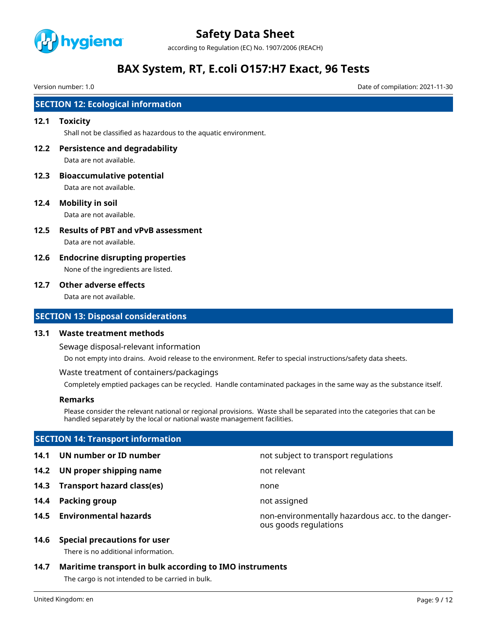

according to Regulation (EC) No. 1907/2006 (REACH)

# **BAX System, RT, E.coli O157:H7 Exact, 96 Tests**

Version number: 1.0 Date of compilation: 2021-11-30

# **SECTION 12: Ecological information**

### **12.1 Toxicity**

Shall not be classified as hazardous to the aquatic environment.

- **12.2 Persistence and degradability** Data are not available.
- **12.3 Bioaccumulative potential** Data are not available.

**12.4 Mobility in soil**

Data are not available.

- **12.5 Results of PBT and vPvB assessment** Data are not available.
- **12.6 Endocrine disrupting properties** None of the ingredients are listed.

### **12.7 Other adverse effects**

Data are not available.

# **SECTION 13: Disposal considerations**

#### **13.1 Waste treatment methods**

Sewage disposal-relevant information

Do not empty into drains. Avoid release to the environment. Refer to special instructions/safety data sheets.

Waste treatment of containers/packagings

Completely emptied packages can be recycled. Handle contaminated packages in the same way as the substance itself.

## **Remarks**

Please consider the relevant national or regional provisions. Waste shall be separated into the categories that can be handled separately by the local or national waste management facilities.

## **SECTION 14: Transport information**

**14.1 UN number or ID number** not subject to transport regulations

- **14.2 UN proper shipping name** not relevant
- **14.3 Transport hazard class(es)** none
- **14.4 Packing group not assigned**
- 
- 
- 
- -
- **14.5 Environmental hazards** non-environmentally hazardous acc. to the dangerous goods regulations

## **14.6 Special precautions for user**

There is no additional information.

# **14.7 Maritime transport in bulk according to IMO instruments**

The cargo is not intended to be carried in bulk.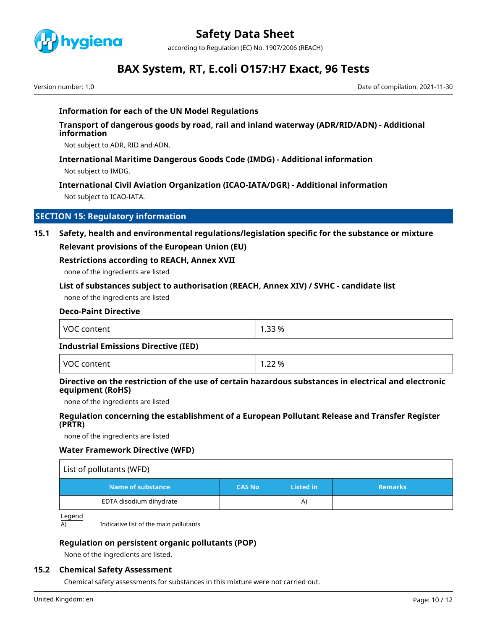

according to Regulation (EC) No. 1907/2006 (REACH)

# **BAX System, RT, E.coli O157:H7 Exact, 96 Tests**

Version number: 1.0 Date of compilation: 2021-11-30

# **Information for each of the UN Model Regulations**

**Transport of dangerous goods by road, rail and inland waterway (ADR/RID/ADN) - Additional information**

Not subject to ADR, RID and ADN.

# **International Maritime Dangerous Goods Code (IMDG) - Additional information**

Not subject to IMDG.

# **International Civil Aviation Organization (ICAO-IATA/DGR) - Additional information**

Not subject to ICAO-IATA.

# **SECTION 15: Regulatory information**

# **15.1 Safety, health and environmental regulations/legislation specific for the substance or mixture**

## **Relevant provisions of the European Union (EU)**

# **Restrictions according to REACH, Annex XVII**

none of the ingredients are listed

## **List of substances subject to authorisation (REACH, Annex XIV) / SVHC - candidate list**

none of the ingredients are listed

# **Deco-Paint Directive**

| <b>NOC</b><br>content<br>. | 1.33 % |
|----------------------------|--------|
|----------------------------|--------|

### **Industrial Emissions Directive (IED)**

VOC content 1.22 %

# **Directive on the restriction of the use of certain hazardous substances in electrical and electronic equipment (RoHS)**

none of the ingredients are listed

# **Regulation concerning the establishment of a European Pollutant Release and Transfer Register (PRTR)**

none of the ingredients are listed

## **Water Framework Directive (WFD)**

| List of pollutants (WFD) |               |           |                |
|--------------------------|---------------|-----------|----------------|
| Name of substance        | <b>CAS No</b> | Listed in | <b>Remarks</b> |
| EDTA disodium dihydrate  |               | A)        |                |

Legend

A) Indicative list of the main pollutants

# **Regulation on persistent organic pollutants (POP)**

None of the ingredients are listed.

# **15.2 Chemical Safety Assessment**

Chemical safety assessments for substances in this mixture were not carried out.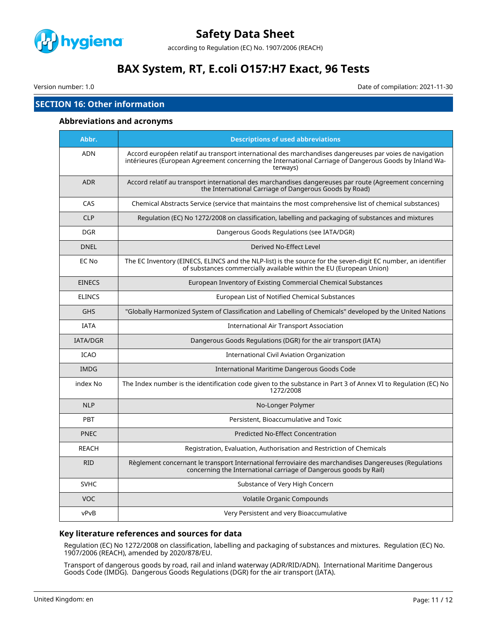

according to Regulation (EC) No. 1907/2006 (REACH)

# **BAX System, RT, E.coli O157:H7 Exact, 96 Tests**

Version number: 1.0 Date of compilation: 2021-11-30

# **SECTION 16: Other information**

#### **Abbreviations and acronyms**

| Abbr.           | <b>Descriptions of used abbreviations</b>                                                                                                                                                                                     |  |  |  |
|-----------------|-------------------------------------------------------------------------------------------------------------------------------------------------------------------------------------------------------------------------------|--|--|--|
| <b>ADN</b>      | Accord européen relatif au transport international des marchandises dangereuses par voies de navigation<br>intérieures (European Agreement concerning the International Carriage of Dangerous Goods by Inland Wa-<br>terways) |  |  |  |
| <b>ADR</b>      | Accord relatif au transport international des marchandises dangereuses par route (Agreement concerning<br>the International Carriage of Dangerous Goods by Road)                                                              |  |  |  |
| CAS             | Chemical Abstracts Service (service that maintains the most comprehensive list of chemical substances)                                                                                                                        |  |  |  |
| <b>CLP</b>      | Regulation (EC) No 1272/2008 on classification, labelling and packaging of substances and mixtures                                                                                                                            |  |  |  |
| <b>DGR</b>      | Dangerous Goods Regulations (see IATA/DGR)                                                                                                                                                                                    |  |  |  |
| <b>DNEL</b>     | Derived No-Effect Level                                                                                                                                                                                                       |  |  |  |
| EC No           | The EC Inventory (EINECS, ELINCS and the NLP-list) is the source for the seven-digit EC number, an identifier<br>of substances commercially available within the EU (European Union)                                          |  |  |  |
| <b>EINECS</b>   | European Inventory of Existing Commercial Chemical Substances                                                                                                                                                                 |  |  |  |
| <b>ELINCS</b>   | European List of Notified Chemical Substances                                                                                                                                                                                 |  |  |  |
| <b>GHS</b>      | "Globally Harmonized System of Classification and Labelling of Chemicals" developed by the United Nations                                                                                                                     |  |  |  |
| <b>IATA</b>     | <b>International Air Transport Association</b>                                                                                                                                                                                |  |  |  |
| <b>IATA/DGR</b> | Dangerous Goods Regulations (DGR) for the air transport (IATA)                                                                                                                                                                |  |  |  |
| <b>ICAO</b>     | International Civil Aviation Organization                                                                                                                                                                                     |  |  |  |
| <b>IMDG</b>     | International Maritime Dangerous Goods Code                                                                                                                                                                                   |  |  |  |
| index No        | The Index number is the identification code given to the substance in Part 3 of Annex VI to Regulation (EC) No<br>1272/2008                                                                                                   |  |  |  |
| <b>NLP</b>      | No-Longer Polymer                                                                                                                                                                                                             |  |  |  |
| <b>PBT</b>      | Persistent, Bioaccumulative and Toxic                                                                                                                                                                                         |  |  |  |
| <b>PNEC</b>     | <b>Predicted No-Effect Concentration</b>                                                                                                                                                                                      |  |  |  |
| <b>REACH</b>    | Registration, Evaluation, Authorisation and Restriction of Chemicals                                                                                                                                                          |  |  |  |
| <b>RID</b>      | Règlement concernant le transport International ferroviaire des marchandises Dangereuses (Regulations<br>concerning the International carriage of Dangerous goods by Rail)                                                    |  |  |  |
| <b>SVHC</b>     | Substance of Very High Concern                                                                                                                                                                                                |  |  |  |
| <b>VOC</b>      | Volatile Organic Compounds                                                                                                                                                                                                    |  |  |  |
| vPvB            | Very Persistent and very Bioaccumulative                                                                                                                                                                                      |  |  |  |

# **Key literature references and sources for data**

Regulation (EC) No 1272/2008 on classification, labelling and packaging of substances and mixtures. Regulation (EC) No. 1907/2006 (REACH), amended by 2020/878/EU.

Transport of dangerous goods by road, rail and inland waterway (ADR/RID/ADN). International Maritime Dangerous Goods Code (IMDG). Dangerous Goods Regulations (DGR) for the air transport (IATA).